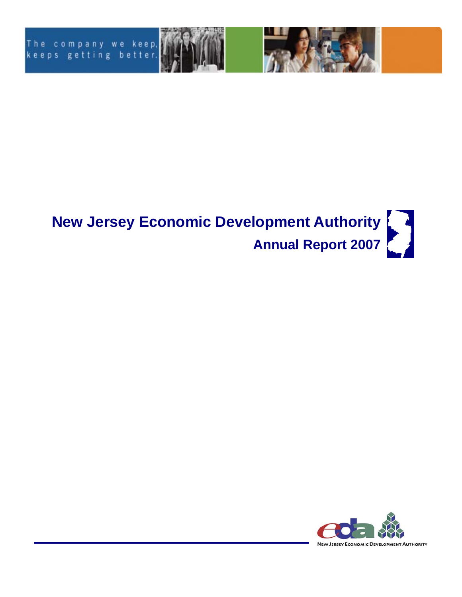



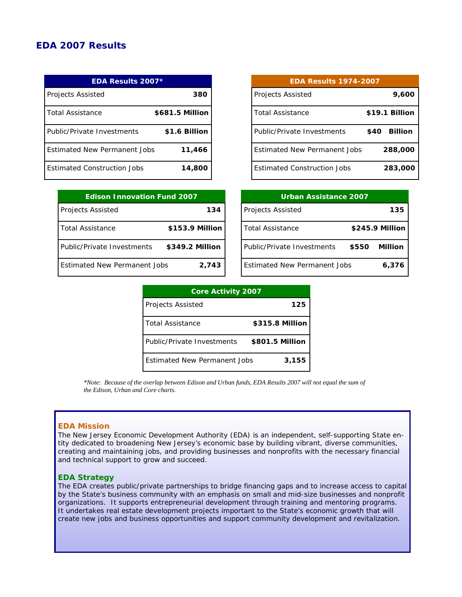## *EDA 2007 Results*

| <b>EDA Results 2007*</b>            |                 |  |  |
|-------------------------------------|-----------------|--|--|
| Projects Assisted                   | 380             |  |  |
| <i>Total Assistance</i>             | \$681.5 Million |  |  |
| Public/Private Investments          | \$1.6 Billion   |  |  |
| <b>Fstimated New Permanent Jobs</b> | 11,466          |  |  |
| <b>Estimated Construction Jobs</b>  | 14,800          |  |  |

| <b>EDA Results 1974-2007</b>        |                       |  |
|-------------------------------------|-----------------------|--|
| <b>Projects Assisted</b>            | 9,600                 |  |
| <b>Total Assistance</b>             | \$19.1 Billion        |  |
| Public/Private Investments          | \$40 Billion          |  |
| <b>Fstimated New Permanent Jobs</b> | <i><b>288,000</b></i> |  |
| <b>Fstimated Construction Jobs</b>  | 283,000               |  |

| <b>Edison Innovation Fund 2007</b>  |                 |  |
|-------------------------------------|-----------------|--|
| <b>Projects Assisted</b>            | 134             |  |
| <i>Total Assistance</i>             | \$153.9 Million |  |
| Public/Private Investments          | \$349.2 Million |  |
| <b>Fstimated New Permanent Jobs</b> | 2.743           |  |

| Urban Assistance 2007               |       |                 |  |
|-------------------------------------|-------|-----------------|--|
| <b>Projects Assisted</b>            |       | 135             |  |
| Total Assistance                    |       | \$245.9 Million |  |
| <b>Public/Private Investments</b>   | \$550 | Million         |  |
| <b>Estimated New Permanent Jobs</b> |       | 6,376           |  |

| <b>Core Activity 2007</b>           |                 |  |
|-------------------------------------|-----------------|--|
| <b>Projects Assisted</b>            | 125             |  |
| Total Assistance                    | \$315.8 Million |  |
| Public/Private Investments          | \$801.5 Million |  |
| <b>Estimated New Permanent Jobs</b> | 3,155           |  |

*\*Note: Because of the overlap between Edison and Urban funds, EDA Results 2007 will not equal the sum of the Edison, Urban and Core charts.* 

#### **EDA Mission**

The New Jersey Economic Development Authority (EDA) is an independent, self-supporting State entity dedicated to broadening New Jersey's economic base by building vibrant, diverse communities, creating and maintaining jobs, and providing businesses and nonprofits with the necessary financial and technical support to grow and succeed.

#### **EDA Strategy**

The EDA creates public/private partnerships to bridge financing gaps and to increase access to capital by the State's business community with an emphasis on small and mid-size businesses and nonprofit organizations. It supports entrepreneurial development through training and mentoring programs. It undertakes real estate development projects important to the State's economic growth that will create new jobs and business opportunities and support community development and revitalization.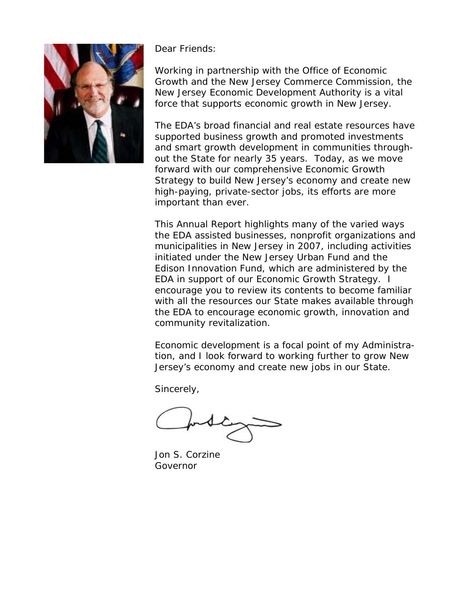

Dear Friends:

Working in partnership with the Office of Economic Growth and the New Jersey Commerce Commission, the New Jersey Economic Development Authority is a vital force that supports economic growth in New Jersey.

The EDA's broad financial and real estate resources have supported business growth and promoted investments and smart growth development in communities throughout the State for nearly 35 years. Today, as we move forward with our comprehensive Economic Growth Strategy to build New Jersey's economy and create new high-paying, private-sector jobs, its efforts are more important than ever.

This Annual Report highlights many of the varied ways the EDA assisted businesses, nonprofit organizations and municipalities in New Jersey in 2007, including activities initiated under the New Jersey Urban Fund and the Edison Innovation Fund, which are administered by the EDA in support of our Economic Growth Strategy. I encourage you to review its contents to become familiar with all the resources our State makes available through the EDA to encourage economic growth, innovation and community revitalization.

Economic development is a focal point of my Administration, and I look forward to working further to grow New Jersey's economy and create new jobs in our State.

Sincerely,

Jon S. Corzine Governor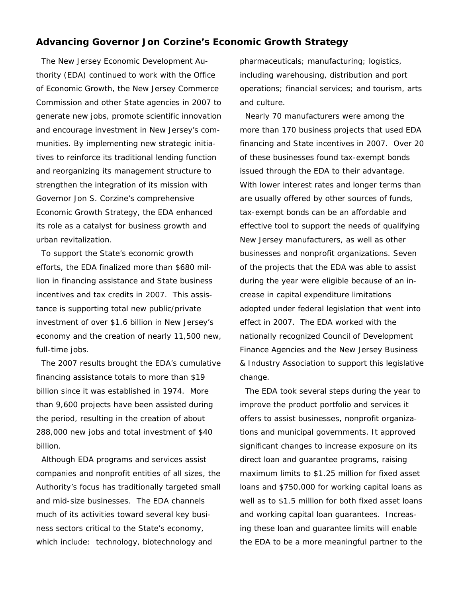### **Advancing Governor Jon Corzine's Economic Growth Strategy**

 The New Jersey Economic Development Authority (EDA) continued to work with the Office of Economic Growth, the New Jersey Commerce Commission and other State agencies in 2007 to generate new jobs, promote scientific innovation and encourage investment in New Jersey's communities. By implementing new strategic initiatives to reinforce its traditional lending function and reorganizing its management structure to strengthen the integration of its mission with Governor Jon S. Corzine's comprehensive Economic Growth Strategy, the EDA enhanced its role as a catalyst for business growth and urban revitalization.

 To support the State's economic growth efforts, the EDA finalized more than \$680 million in financing assistance and State business incentives and tax credits in 2007. This assistance is supporting total new public/private investment of over \$1.6 billion in New Jersey's economy and the creation of nearly 11,500 new, full-time jobs.

 The 2007 results brought the EDA's cumulative financing assistance totals to more than \$19 billion since it was established in 1974. More than 9,600 projects have been assisted during the period, resulting in the creation of about 288,000 new jobs and total investment of \$40 billion.

 Although EDA programs and services assist companies and nonprofit entities of all sizes, the Authority's focus has traditionally targeted small and mid-size businesses. The EDA channels much of its activities toward several key business sectors critical to the State's economy, which include: technology, biotechnology and

pharmaceuticals; manufacturing; logistics, including warehousing, distribution and port operations; financial services; and tourism, arts and culture.

 Nearly 70 manufacturers were among the more than 170 business projects that used EDA financing and State incentives in 2007. Over 20 of these businesses found tax-exempt bonds issued through the EDA to their advantage. With lower interest rates and longer terms than are usually offered by other sources of funds, tax-exempt bonds can be an affordable and effective tool to support the needs of qualifying New Jersey manufacturers, as well as other businesses and nonprofit organizations. Seven of the projects that the EDA was able to assist during the year were eligible because of an increase in capital expenditure limitations adopted under federal legislation that went into effect in 2007. The EDA worked with the nationally recognized Council of Development Finance Agencies and the New Jersey Business & Industry Association to support this legislative change.

 The EDA took several steps during the year to improve the product portfolio and services it offers to assist businesses, nonprofit organizations and municipal governments. It approved significant changes to increase exposure on its direct loan and guarantee programs, raising maximum limits to \$1.25 million for fixed asset loans and \$750,000 for working capital loans as well as to \$1.5 million for both fixed asset loans and working capital loan guarantees. Increasing these loan and guarantee limits will enable the EDA to be a more meaningful partner to the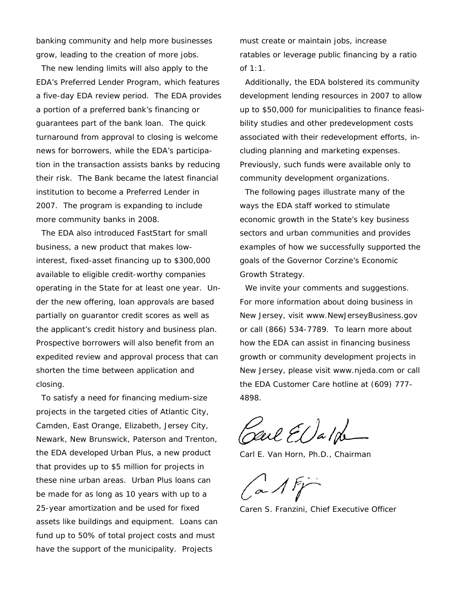banking community and help more businesses grow, leading to the creation of more jobs.

 The new lending limits will also apply to the EDA's Preferred Lender Program, which features a five-day EDA review period. The EDA provides a portion of a preferred bank's financing or guarantees part of the bank loan. The quick turnaround from approval to closing is welcome news for borrowers, while the EDA's participation in the transaction assists banks by reducing their risk. The Bank became the latest financial institution to become a Preferred Lender in 2007. The program is expanding to include more community banks in 2008.

 The EDA also introduced *FastStart for small business*, a new product that makes lowinterest, fixed-asset financing up to \$300,000 available to eligible credit-worthy companies operating in the State for at least one year. Under the new offering, loan approvals are based partially on guarantor credit scores as well as the applicant's credit history and business plan. Prospective borrowers will also benefit from an expedited review and approval process that can shorten the time between application and closing.

 To satisfy a need for financing medium-size projects in the targeted cities of Atlantic City, Camden, East Orange, Elizabeth, Jersey City, Newark, New Brunswick, Paterson and Trenton, the EDA developed Urban Plus, a new product that provides up to \$5 million for projects in these nine urban areas. Urban Plus loans can be made for as long as 10 years with up to a 25-year amortization and be used for fixed assets like buildings and equipment. Loans can fund up to 50% of total project costs and must have the support of the municipality. Projects

must create or maintain jobs, increase ratables or leverage public financing by a ratio of 1:1.

 Additionally, the EDA bolstered its community development lending resources in 2007 to allow up to \$50,000 for municipalities to finance feasibility studies and other predevelopment costs associated with their redevelopment efforts, including planning and marketing expenses. Previously, such funds were available only to community development organizations.

 The following pages illustrate many of the ways the EDA staff worked to stimulate economic growth in the State's key business sectors and urban communities and provides examples of how we successfully supported the goals of the Governor Corzine's Economic Growth Strategy.

We invite your comments and suggestions. For more information about doing business in New Jersey, visit www.NewJerseyBusiness.gov or call (866) 534-7789. To learn more about how the EDA can assist in financing business growth or community development projects in New Jersey, please visit www.njeda.com or call the EDA Customer Care hotline at (609) 777- 4898.

Carl EDald

Carl E. Van Horn, Ph.D., Chairman

 $a$  1 F

Caren S. Franzini, Chief Executive Officer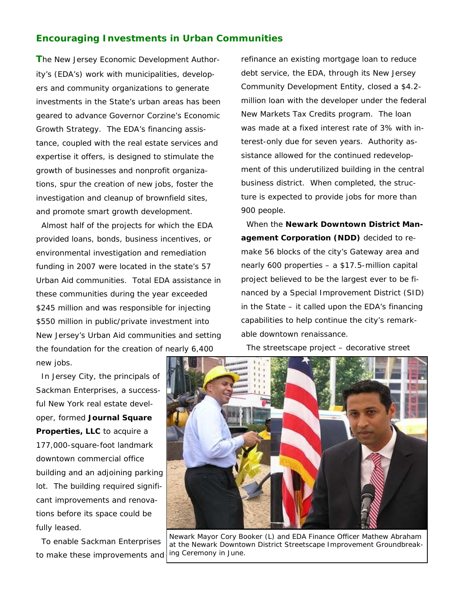## **Encouraging Investments in Urban Communities**

**T**he New Jersey Economic Development Authority's (EDA's) work with municipalities, developers and community organizations to generate investments in the State's urban areas has been geared to advance Governor Corzine's Economic Growth Strategy. The EDA's financing assistance, coupled with the real estate services and expertise it offers, is designed to stimulate the growth of businesses and nonprofit organizations, spur the creation of new jobs, foster the investigation and cleanup of brownfield sites, and promote smart growth development.

 Almost half of the projects for which the EDA provided loans, bonds, business incentives, or environmental investigation and remediation funding in 2007 were located in the state's 57 Urban Aid communities. Total EDA assistance in these communities during the year exceeded \$245 million and was responsible for injecting \$550 million in public/private investment into New Jersey's Urban Aid communities and setting the foundation for the creation of nearly 6,400 new jobs.

 In Jersey City, the principals of Sackman Enterprises, a successful New York real estate developer, formed **Journal Square Properties, LLC** to acquire a 177,000-square-foot landmark downtown commercial office building and an adjoining parking lot. The building required significant improvements and renovations before its space could be fully leased.

 To enable Sackman Enterprises to make these improvements and refinance an existing mortgage loan to reduce debt service, the EDA, through its New Jersey Community Development Entity, closed a \$4.2 million loan with the developer under the federal New Markets Tax Credits program. The loan was made at a fixed interest rate of 3% with interest-only due for seven years. Authority assistance allowed for the continued redevelopment of this underutilized building in the central business district. When completed, the structure is expected to provide jobs for more than 900 people.

 When the **Newark Downtown District Management Corporation (NDD)** decided to remake 56 blocks of the city's Gateway area and nearly 600 properties – a \$17.5-million capital project believed to be the largest ever to be financed by a Special Improvement District (SID) in the State – it called upon the EDA's financing capabilities to help continue the city's remarkable downtown renaissance.

The streetscape project – decorative street



*Newark Mayor Cory Booker (L) and EDA Finance Officer Mathew Abraham at the Newark Downtown District Streetscape Improvement Groundbreaking Ceremony in June.*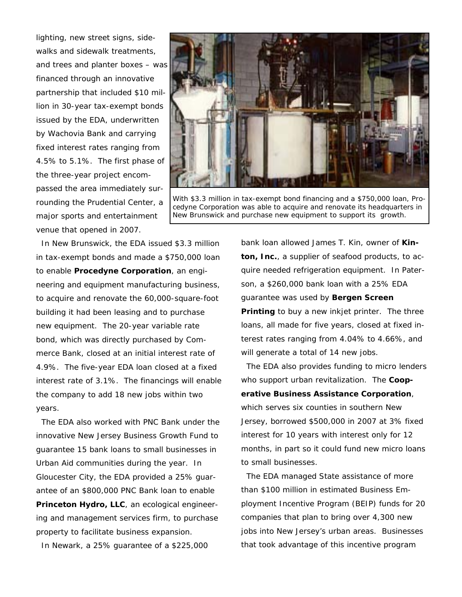lighting, new street signs, sidewalks and sidewalk treatments, and trees and planter boxes – was financed through an innovative partnership that included \$10 million in 30-year tax-exempt bonds issued by the EDA, underwritten by Wachovia Bank and carrying fixed interest rates ranging from 4.5% to 5.1%. The first phase of the three-year project encompassed the area immediately surrounding the Prudential Center, a major sports and entertainment venue that opened in 2007.



*With \$3.3 million in tax-exempt bond financing and a \$750,000 loan, Procedyne Corporation was able to acquire and renovate its headquarters in New Brunswick and purchase new equipment to support its growth.* 

 In New Brunswick, the EDA issued \$3.3 million in tax-exempt bonds and made a \$750,000 loan to enable **Procedyne Corporation**, an engineering and equipment manufacturing business, to acquire and renovate the 60,000-square-foot building it had been leasing and to purchase new equipment. The 20-year variable rate bond, which was directly purchased by Commerce Bank, closed at an initial interest rate of 4.9%. The five-year EDA loan closed at a fixed interest rate of 3.1%. The financings will enable the company to add 18 new jobs within two years.

 The EDA also worked with PNC Bank under the innovative New Jersey Business Growth Fund to guarantee 15 bank loans to small businesses in Urban Aid communities during the year. In Gloucester City, the EDA provided a 25% guarantee of an \$800,000 PNC Bank loan to enable **Princeton Hydro, LLC**, an ecological engineering and management services firm, to purchase property to facilitate business expansion.

In Newark, a 25% guarantee of a \$225,000

bank loan allowed James T. Kin, owner of **Kinton, Inc.**, a supplier of seafood products, to acquire needed refrigeration equipment. In Paterson, a \$260,000 bank loan with a 25% EDA guarantee was used by **Bergen Screen Printing** to buy a new inkjet printer. The three loans, all made for five years, closed at fixed interest rates ranging from 4.04% to 4.66%, and will generate a total of 14 new jobs.

 The EDA also provides funding to micro lenders who support urban revitalization. The **Cooperative Business Assistance Corporation**, which serves six counties in southern New Jersey, borrowed \$500,000 in 2007 at 3% fixed interest for 10 years with interest only for 12 months, in part so it could fund new micro loans to small businesses.

 The EDA managed State assistance of more than \$100 million in estimated Business Employment Incentive Program (BEIP) funds for 20 companies that plan to bring over 4,300 new jobs into New Jersey's urban areas. Businesses that took advantage of this incentive program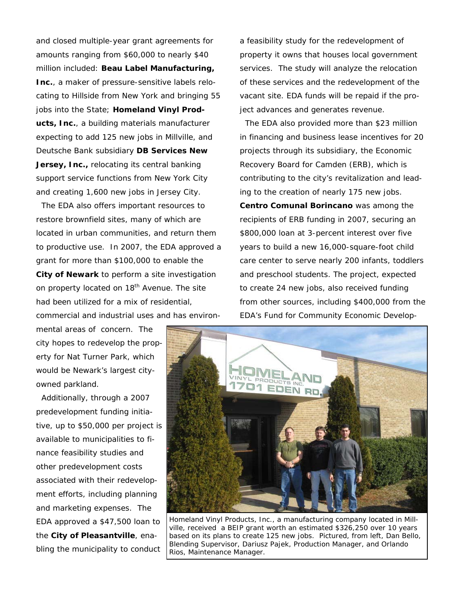and closed multiple-year grant agreements for amounts ranging from \$60,000 to nearly \$40 million included: **Beau Label Manufacturing, Inc.**, a maker of pressure-sensitive labels relocating to Hillside from New York and bringing 55 jobs into the State; **Homeland Vinyl Products, Inc.**, a building materials manufacturer expecting to add 125 new jobs in Millville, and Deutsche Bank subsidiary **DB Services New Jersey, Inc., relocating its central banking** support service functions from New York City and creating 1,600 new jobs in Jersey City.

 The EDA also offers important resources to restore brownfield sites, many of which are located in urban communities, and return them to productive use. In 2007, the EDA approved a grant for more than \$100,000 to enable the **City of Newark** to perform a site investigation on property located on 18<sup>th</sup> Avenue. The site had been utilized for a mix of residential, commercial and industrial uses and has environ-

mental areas of concern. The city hopes to redevelop the property for Nat Turner Park, which would be Newark's largest cityowned parkland.

 Additionally, through a 2007 predevelopment funding initiative, up to \$50,000 per project is available to municipalities to finance feasibility studies and other predevelopment costs associated with their redevelopment efforts, including planning and marketing expenses. The EDA approved a \$47,500 loan to the **City of Pleasantville**, enabling the municipality to conduct

a feasibility study for the redevelopment of property it owns that houses local government services. The study will analyze the relocation of these services and the redevelopment of the vacant site. EDA funds will be repaid if the project advances and generates revenue.

 The EDA also provided more than \$23 million in financing and business lease incentives for 20 projects through its subsidiary, the Economic Recovery Board for Camden (ERB), which is contributing to the city's revitalization and leading to the creation of nearly 175 new jobs.

**Centro Comunal Borincano** was among the recipients of ERB funding in 2007, securing an \$800,000 loan at 3-percent interest over five years to build a new 16,000-square-foot child care center to serve nearly 200 infants, toddlers and preschool students. The project, expected to create 24 new jobs, also received funding from other sources, including \$400,000 from the EDA's Fund for Community Economic Develop-



*Homeland Vinyl Products, Inc., a manufacturing company located in Millville, received a BEIP grant worth an estimated \$326,250 over 10 years based on its plans to create 125 new jobs. Pictured, from left, Dan Bello, Blending Supervisor, Dariusz Pajek, Production Manager, and Orlando Rios, Maintenance Manager.*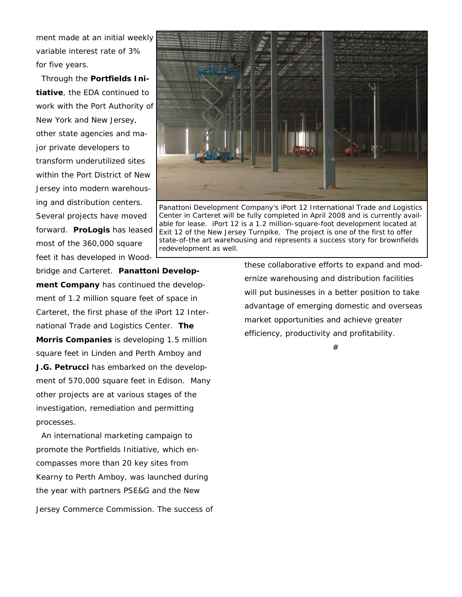ment made at an initial weekly variable interest rate of 3% for five years.

 Through the **Portfields Initiative**, the EDA continued to work with the Port Authority of New York and New Jersey, other state agencies and major private developers to transform underutilized sites within the Port District of New Jersey into modern warehousing and distribution centers. Several projects have moved forward. **ProLogis** has leased most of the 360,000 square feet it has developed in Wood-



*Panattoni Development Company's iPort 12 International Trade and Logistics Center in Carteret will be fully completed in April 2008 and is currently available for lease. iPort 12 is a 1.2 million-square-foot development located at Exit 12 of the New Jersey Turnpike. The project is one of the first to offer state-of-the art warehousing and represents a success story for brownfields redevelopment as well.*

bridge and Carteret. **Panattoni Development Company** has continued the development of 1.2 million square feet of space in Carteret, the first phase of the iPort 12 International Trade and Logistics Center. **The Morris Companies** is developing 1.5 million square feet in Linden and Perth Amboy and **J.G. Petrucci** has embarked on the development of 570,000 square feet in Edison. Many other projects are at various stages of the investigation, remediation and permitting processes.

 An international marketing campaign to promote the Portfields Initiative, which encompasses more than 20 key sites from Kearny to Perth Amboy, was launched during the year with partners PSE&G and the New Jersey Commerce Commission. The success of these collaborative efforts to expand and modernize warehousing and distribution facilities will put businesses in a better position to take advantage of emerging domestic and overseas market opportunities and achieve greater efficiency, productivity and profitability.

#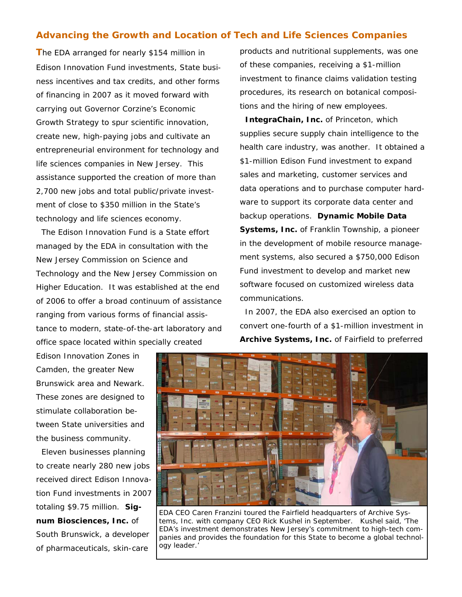## **Advancing the Growth and Location of Tech and Life Sciences Companies**

**T**he EDA arranged for nearly \$154 million in Edison Innovation Fund investments, State business incentives and tax credits, and other forms of financing in 2007 as it moved forward with carrying out Governor Corzine's Economic Growth Strategy to spur scientific innovation, create new, high-paying jobs and cultivate an entrepreneurial environment for technology and life sciences companies in New Jersey. This assistance supported the creation of more than 2,700 new jobs and total public/private investment of close to \$350 million in the State's technology and life sciences economy.

 The Edison Innovation Fund is a State effort managed by the EDA in consultation with the New Jersey Commission on Science and Technology and the New Jersey Commission on Higher Education. It was established at the end of 2006 to offer a broad continuum of assistance ranging from various forms of financial assistance to modern, state-of-the-art laboratory and office space located within specially created

Edison Innovation Zones in Camden, the greater New Brunswick area and Newark. These zones are designed to stimulate collaboration between State universities and the business community.

 Eleven businesses planning to create nearly 280 new jobs received direct Edison Innovation Fund investments in 2007 totaling \$9.75 million. **Signum Biosciences, Inc.** of South Brunswick, a developer of pharmaceuticals, skin-care

products and nutritional supplements, was one of these companies, receiving a \$1-million investment to finance claims validation testing procedures, its research on botanical compositions and the hiring of new employees.

 **IntegraChain, Inc.** of Princeton, which supplies secure supply chain intelligence to the health care industry, was another. It obtained a \$1-million Edison Fund investment to expand sales and marketing, customer services and data operations and to purchase computer hardware to support its corporate data center and backup operations. **Dynamic Mobile Data Systems, Inc.** of Franklin Township, a pioneer in the development of mobile resource management systems, also secured a \$750,000 Edison Fund investment to develop and market new software focused on customized wireless data communications.

 In 2007, the EDA also exercised an option to convert one-fourth of a \$1-million investment in **Archive Systems, Inc.** of Fairfield to preferred



*EDA CEO Caren Franzini toured the Fairfield headquarters of Archive Systems, Inc. with company CEO Rick Kushel in September. Kushel said, 'The EDA's investment demonstrates New Jersey's commitment to high-tech companies and provides the foundation for this State to become a global technology leader.'*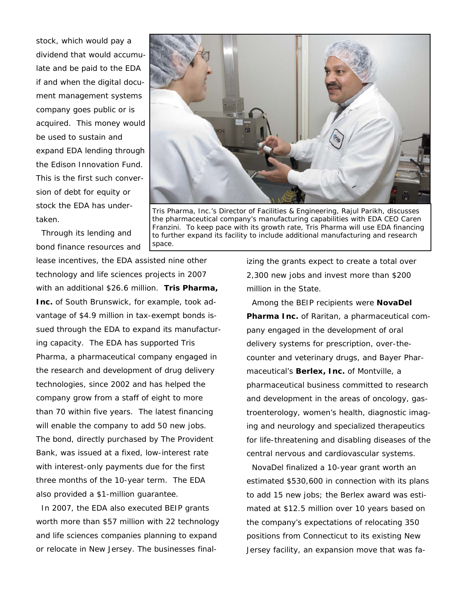stock, which would pay a dividend that would accumulate and be paid to the EDA if and when the digital document management systems company goes public or is acquired. This money would be used to sustain and expand EDA lending through the Edison Innovation Fund. This is the first such conversion of debt for equity or stock the EDA has undertaken.



*Tris Pharma, Inc.'s Director of Facilities & Engineering, Rajul Parikh, discusses the pharmaceutical company's manufacturing capabilities with EDA CEO Caren Franzini. To keep pace with its growth rate, Tris Pharma will use EDA financing to further expand its facility to include additional manufacturing and research space.* 

 Through its lending and bond finance resources and

lease incentives, the EDA assisted nine other technology and life sciences projects in 2007 with an additional \$26.6 million. **Tris Pharma, Inc.** of South Brunswick, for example, took advantage of \$4.9 million in tax-exempt bonds issued through the EDA to expand its manufacturing capacity. The EDA has supported Tris Pharma, a pharmaceutical company engaged in the research and development of drug delivery technologies, since 2002 and has helped the company grow from a staff of eight to more than 70 within five years. The latest financing will enable the company to add 50 new jobs. The bond, directly purchased by The Provident Bank, was issued at a fixed, low-interest rate with interest-only payments due for the first three months of the 10-year term. The EDA also provided a \$1-million guarantee.

 In 2007, the EDA also executed BEIP grants worth more than \$57 million with 22 technology and life sciences companies planning to expand or relocate in New Jersey. The businesses finalizing the grants expect to create a total over 2,300 new jobs and invest more than \$200 million in the State.

 Among the BEIP recipients were **NovaDel Pharma Inc.** of Raritan, a pharmaceutical company engaged in the development of oral delivery systems for prescription, over-thecounter and veterinary drugs, and Bayer Pharmaceutical's **Berlex, Inc.** of Montville, a pharmaceutical business committed to research and development in the areas of oncology, gastroenterology, women's health, diagnostic imaging and neurology and specialized therapeutics for life-threatening and disabling diseases of the central nervous and cardiovascular systems.

 NovaDel finalized a 10-year grant worth an estimated \$530,600 in connection with its plans to add 15 new jobs; the Berlex award was estimated at \$12.5 million over 10 years based on the company's expectations of relocating 350 positions from Connecticut to its existing New Jersey facility, an expansion move that was fa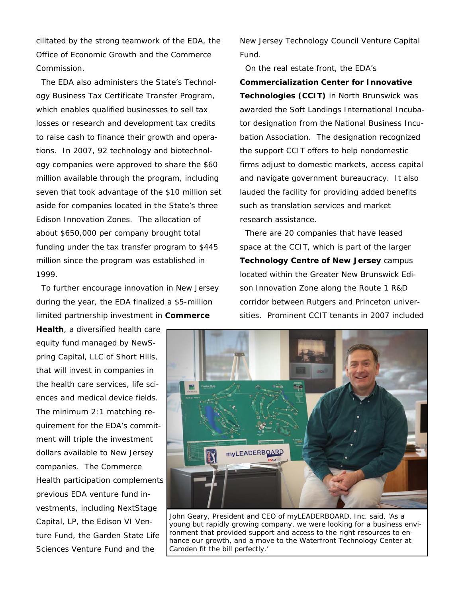cilitated by the strong teamwork of the EDA, the Office of Economic Growth and the Commerce Commission.

 The EDA also administers the State's Technology Business Tax Certificate Transfer Program, which enables qualified businesses to sell tax losses or research and development tax credits to raise cash to finance their growth and operations. In 2007, 92 technology and biotechnology companies were approved to share the \$60 million available through the program, including seven that took advantage of the \$10 million set aside for companies located in the State's three Edison Innovation Zones. The allocation of about \$650,000 per company brought total funding under the tax transfer program to \$445 million since the program was established in 1999.

 To further encourage innovation in New Jersey during the year, the EDA finalized a \$5-million limited partnership investment in **Commerce** 

**Health**, a diversified health care equity fund managed by NewSpring Capital, LLC of Short Hills, that will invest in companies in the health care services, life sciences and medical device fields. The minimum 2:1 matching requirement for the EDA's commitment will triple the investment dollars available to New Jersey companies. The Commerce Health participation complements previous EDA venture fund investments, including NextStage Capital, LP, the Edison VI Venture Fund, the Garden State Life Sciences Venture Fund and the

New Jersey Technology Council Venture Capital Fund.

 On the real estate front, the EDA's **Commercialization Center for Innovative Technologies (CCIT)** in North Brunswick was awarded the Soft Landings International Incubator designation from the National Business Incubation Association. The designation recognized the support CCIT offers to help nondomestic firms adjust to domestic markets, access capital and navigate government bureaucracy. It also lauded the facility for providing added benefits such as translation services and market research assistance.

 There are 20 companies that have leased space at the CCIT, which is part of the larger **Technology Centre of New Jersey** campus located within the Greater New Brunswick Edison Innovation Zone along the Route 1 R&D corridor between Rutgers and Princeton universities. Prominent CCIT tenants in 2007 included



*John Geary, President and CEO of myLEADERBOARD, Inc. said, 'As a young but rapidly growing company, we were looking for a business environment that provided support and access to the right resources to enhance our growth, and a move to the Waterfront Technology Center at Camden fit the bill perfectly.'*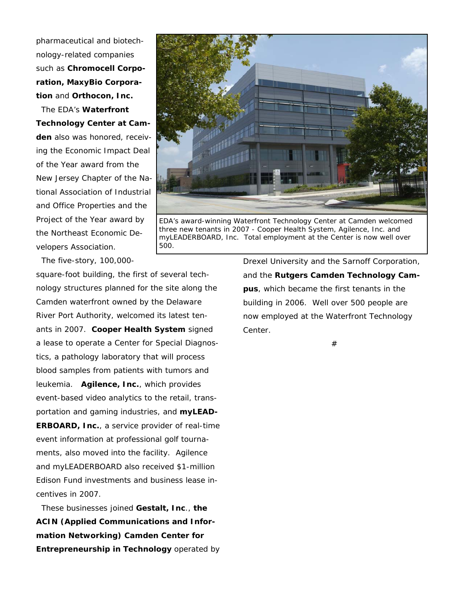pharmaceutical and biotechnology-related companies such as **Chromocell Corporation, MaxyBio Corporation** and **Orthocon, Inc.** 

The EDA's **Waterfront Technology Center at Camden** also was honored, receiving the Economic Impact Deal of the Year award from the New Jersey Chapter of the National Association of Industrial and Office Properties and the Project of the Year award by the Northeast Economic Developers Association.

The five-story, 100,000-

square-foot building, the first of several technology structures planned for the site along the Camden waterfront owned by the Delaware River Port Authority, welcomed its latest tenants in 2007. **Cooper Health System** signed a lease to operate a Center for Special Diagnostics, a pathology laboratory that will process blood samples from patients with tumors and leukemia. **Agilence, Inc.**, which provides event-based video analytics to the retail, transportation and gaming industries, and **myLEAD-ERBOARD, Inc.**, a service provider of real-time event information at professional golf tournaments, also moved into the facility. Agilence and myLEADERBOARD also received \$1-million Edison Fund investments and business lease incentives in 2007.

 These businesses joined **Gestalt, Inc**., **the ACIN (Applied Communications and Information Networking) Camden Center for Entrepreneurship in Technology** operated by Drexel University and the Sarnoff Corporation, and the **Rutgers Camden Technology Campus**, which became the first tenants in the building in 2006. Well over 500 people are now employed at the Waterfront Technology Center.

#



*EDA's award-winning Waterfront Technology Center at Camden welcomed three new tenants in 2007 - Cooper Health System, Agilence, Inc. and myLEADERBOARD, Inc. Total employment at the Center is now well over 500.*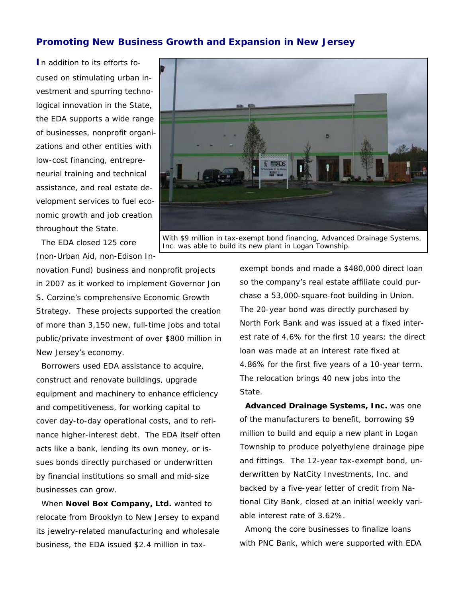## **Promoting New Business Growth and Expansion in New Jersey**

**I**n addition to its efforts focused on stimulating urban investment and spurring technological innovation in the State, the EDA supports a wide range of businesses, nonprofit organizations and other entities with low-cost financing, entrepreneurial training and technical assistance, and real estate development services to fuel economic growth and job creation throughout the State.

 The EDA closed 125 core (non-Urban Aid, non-Edison In-

novation Fund) business and nonprofit projects in 2007 as it worked to implement Governor Jon S. Corzine's comprehensive Economic Growth Strategy. These projects supported the creation of more than 3,150 new, full-time jobs and total public/private investment of over \$800 million in New Jersey's economy.

 Borrowers used EDA assistance to acquire, construct and renovate buildings, upgrade equipment and machinery to enhance efficiency and competitiveness, for working capital to cover day-to-day operational costs, and to refinance higher-interest debt. The EDA itself often acts like a bank, lending its own money, or issues bonds directly purchased or underwritten by financial institutions so small and mid-size businesses can grow.

 When **Novel Box Company, Ltd.** wanted to relocate from Brooklyn to New Jersey to expand its jewelry-related manufacturing and wholesale business, the EDA issued \$2.4 million in taxexempt bonds and made a \$480,000 direct loan so the company's real estate affiliate could purchase a 53,000-square-foot building in Union. The 20-year bond was directly purchased by North Fork Bank and was issued at a fixed interest rate of 4.6% for the first 10 years; the direct loan was made at an interest rate fixed at 4.86% for the first five years of a 10-year term. The relocation brings 40 new jobs into the State.

 **Advanced Drainage Systems, Inc.** was one of the manufacturers to benefit, borrowing \$9 million to build and equip a new plant in Logan Township to produce polyethylene drainage pipe and fittings. The 12-year tax-exempt bond, underwritten by NatCity Investments, Inc. and backed by a five-year letter of credit from National City Bank, closed at an initial weekly variable interest rate of 3.62%.

 Among the core businesses to finalize loans with PNC Bank, which were supported with EDA

*With \$9 million in tax-exempt bond financing, Advanced Drainage Systems,*  Inc. was able to build its new plant in Logan Township.

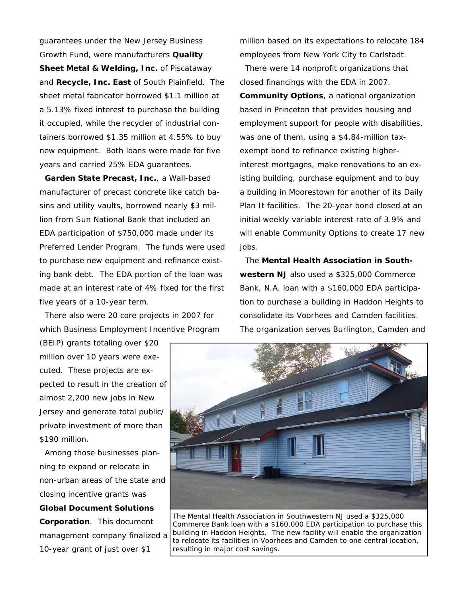guarantees under the New Jersey Business Growth Fund, were manufacturers **Quality Sheet Metal & Welding, Inc.** of Piscataway and **Recycle, Inc. East** of South Plainfield. The sheet metal fabricator borrowed \$1.1 million at a 5.13% fixed interest to purchase the building it occupied, while the recycler of industrial containers borrowed \$1.35 million at 4.55% to buy new equipment. Both loans were made for five years and carried 25% EDA guarantees.

 **Garden State Precast, Inc.**, a Wall-based manufacturer of precast concrete like catch basins and utility vaults, borrowed nearly \$3 million from Sun National Bank that included an EDA participation of \$750,000 made under its Preferred Lender Program. The funds were used to purchase new equipment and refinance existing bank debt. The EDA portion of the loan was made at an interest rate of 4% fixed for the first five years of a 10-year term.

 There also were 20 core projects in 2007 for which Business Employment Incentive Program

(BEIP) grants totaling over \$20 million over 10 years were executed. These projects are expected to result in the creation of almost 2,200 new jobs in New Jersey and generate total public/ private investment of more than \$190 million.

 Among those businesses planning to expand or relocate in non-urban areas of the state and closing incentive grants was **Global Document Solutions Corporation**. This document management company finalized a 10-year grant of just over \$1

million based on its expectations to relocate 184 employees from New York City to Carlstadt.

 There were 14 nonprofit organizations that closed financings with the EDA in 2007. **Community Options**, a national organization based in Princeton that provides housing and employment support for people with disabilities, was one of them, using a \$4.84-million taxexempt bond to refinance existing higherinterest mortgages, make renovations to an existing building, purchase equipment and to buy a building in Moorestown for another of its Daily Plan It facilities. The 20-year bond closed at an initial weekly variable interest rate of 3.9% and will enable Community Options to create 17 new jobs.

 The **Mental Health Association in Southwestern NJ** also used a \$325,000 Commerce Bank, N.A. loan with a \$160,000 EDA participation to purchase a building in Haddon Heights to consolidate its Voorhees and Camden facilities. The organization serves Burlington, Camden and



*The Mental Health Association in Southwestern NJ used a \$325,000 Commerce Bank loan with a \$160,000 EDA participation to purchase this building in Haddon Heights. The new facility will enable the organization to relocate its facilities in Voorhees and Camden to one central location, resulting in major cost savings.*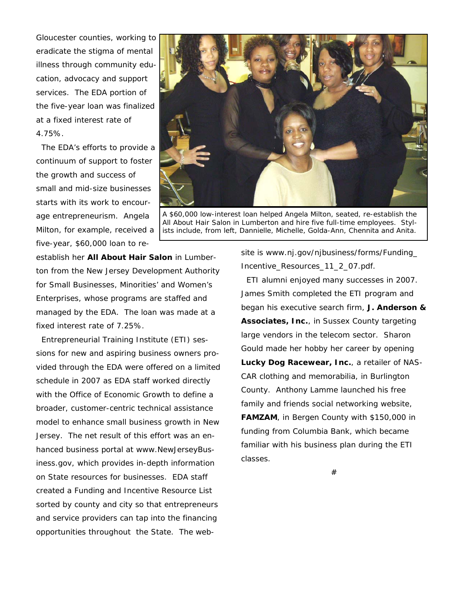Gloucester counties, working to eradicate the stigma of mental illness through community education, advocacy and support services. The EDA portion of the five-year loan was finalized at a fixed interest rate of 4.75%.

 The EDA's efforts to provide a continuum of support to foster the growth and success of small and mid-size businesses starts with its work to encourage entrepreneurism. Angela Milton, for example, received a five-year, \$60,000 loan to re-

*A \$60,000 low-interest loan helped Angela Milton, seated, re-establish the All About Hair Salon in Lumberton and hire five full-time employees. Stylists include, from left, Dannielle, Michelle, Golda-Ann, Chennita and Anita.* 

establish her **All About Hair Salon** in Lumberton from the New Jersey Development Authority for Small Businesses, Minorities' and Women's Enterprises, whose programs are staffed and managed by the EDA. The loan was made at a fixed interest rate of 7.25%.

 Entrepreneurial Training Institute (ETI) sessions for new and aspiring business owners provided through the EDA were offered on a limited schedule in 2007 as EDA staff worked directly with the Office of Economic Growth to define a broader, customer-centric technical assistance model to enhance small business growth in New Jersey. The net result of this effort was an enhanced business portal at www.NewJerseyBusiness.gov, which provides in-depth information on State resources for businesses. EDA staff created a Funding and Incentive Resource List sorted by county and city so that entrepreneurs and service providers can tap into the financing opportunities throughout the State. The website is www.nj.gov/njbusiness/forms/Funding\_ Incentive\_Resources\_11\_2\_07.pdf.

 ETI alumni enjoyed many successes in 2007. James Smith completed the ETI program and began his executive search firm, **J. Anderson & Associates, Inc.**, in Sussex County targeting large vendors in the telecom sector. Sharon Gould made her hobby her career by opening **Lucky Dog Racewear, Inc.**, a retailer of NAS-CAR clothing and memorabilia, in Burlington County. Anthony Lamme launched his free family and friends social networking website, **FAMZAM**, in Bergen County with \$150,000 in funding from Columbia Bank, which became familiar with his business plan during the ETI classes.

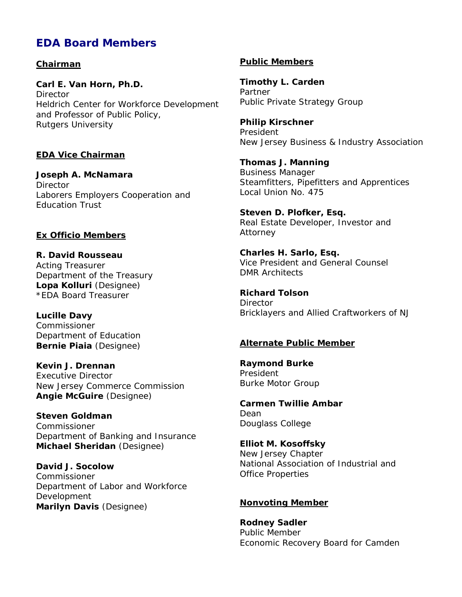# *EDA Board Members*

### *Chairman*

**Carl E. Van Horn, Ph.D. Director** Heldrich Center for Workforce Development and Professor of Public Policy, Rutgers University

#### *EDA Vice Chairman*

**Joseph A. McNamara Director** Laborers Employers Cooperation and Education Trust

#### *Ex Officio Members*

**R. David Rousseau**  Acting Treasurer Department of the Treasury **Lopa Kolluri** (Designee) *\*EDA Board Treasurer*

**Lucille Davy**  Commissioner Department of Education **Bernie Piaia** (Designee)

**Kevin J. Drennan**  Executive Director New Jersey Commerce Commission **Angie McGuire** (Designee)

**Steven Goldman**  Commissioner Department of Banking and Insurance **Michael Sheridan** (Designee)

**David J. Socolow**  Commissioner Department of Labor and Workforce Development **Marilyn Davis** (Designee)

#### *Public Members*

**Timothy L. Carden**  Partner Public Private Strategy Group

**Philip Kirschner**  President New Jersey Business & Industry Association

**Thomas J. Manning**  Business Manager Steamfitters, Pipefitters and Apprentices Local Union No. 475

**Steven D. Plofker, Esq.**  Real Estate Developer, Investor and Attorney

**Charles H. Sarlo, Esq.**  Vice President and General Counsel *DMR Architects* 

**Richard Tolson Director** Bricklayers and Allied Craftworkers of NJ

#### *Alternate Public Member*

**Raymond Burke**  President Burke Motor Group

**Carmen Twillie Ambar**  Dean Douglass College

**Elliot M. Kosoffsky**  New Jersey Chapter National Association of Industrial and Office Properties

#### *Nonvoting Member*

**Rodney Sadler**  Public Member Economic Recovery Board for Camden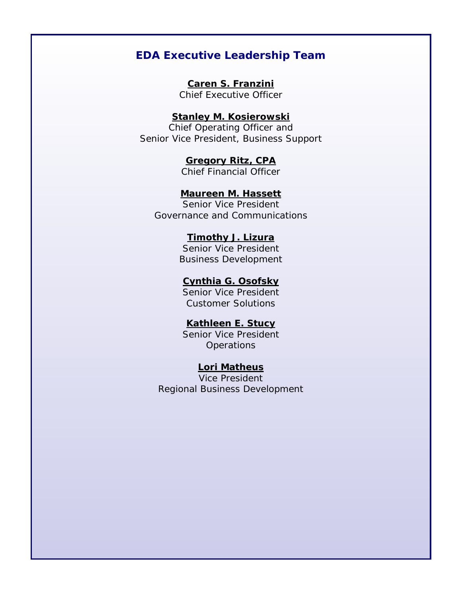# **EDA Executive Leadership Team**

**Caren S. Franzini** Chief Executive Officer

## **Stanley M. Kosierowski**

Chief Operating Officer and Senior Vice President, Business Support

> **Gregory Ritz, CPA** Chief Financial Officer

**Maureen M. Hassett**

Senior Vice President Governance and Communications

**Timothy J. Lizura**

Senior Vice President Business Development

### **Cynthia G. Osofsky**

Senior Vice President Customer Solutions

## **Kathleen E. Stucy**

Senior Vice President **Operations** 

## **Lori Matheus**

Vice President Regional Business Development